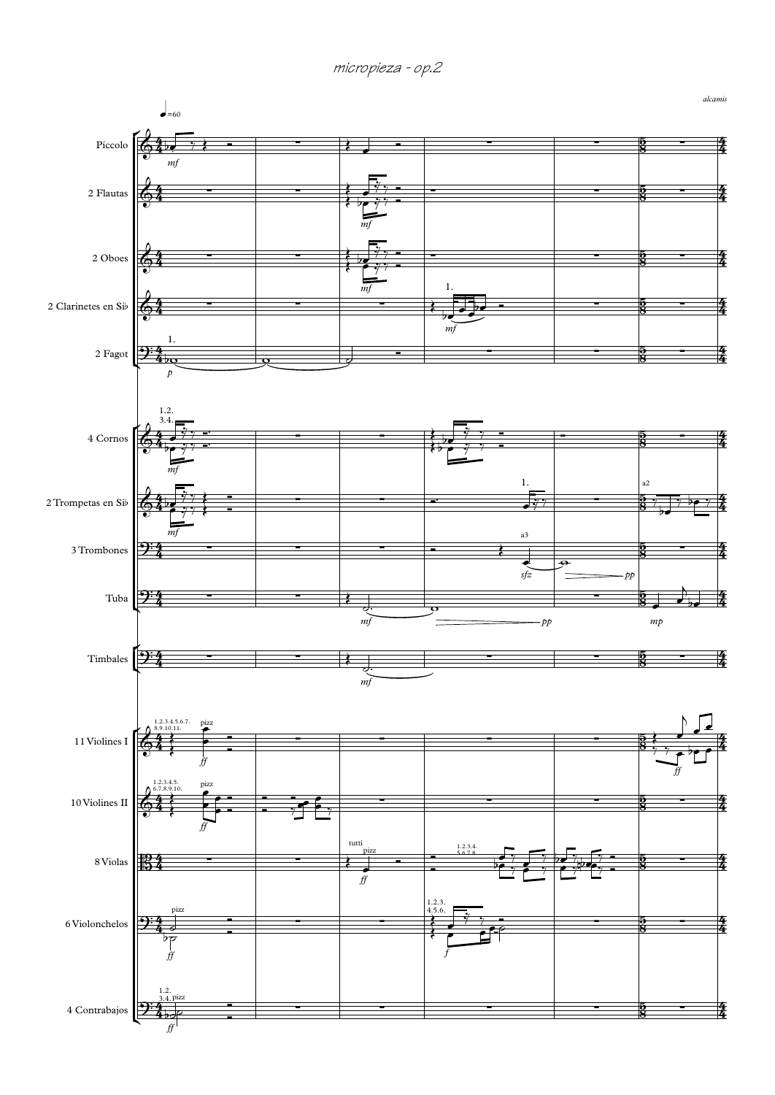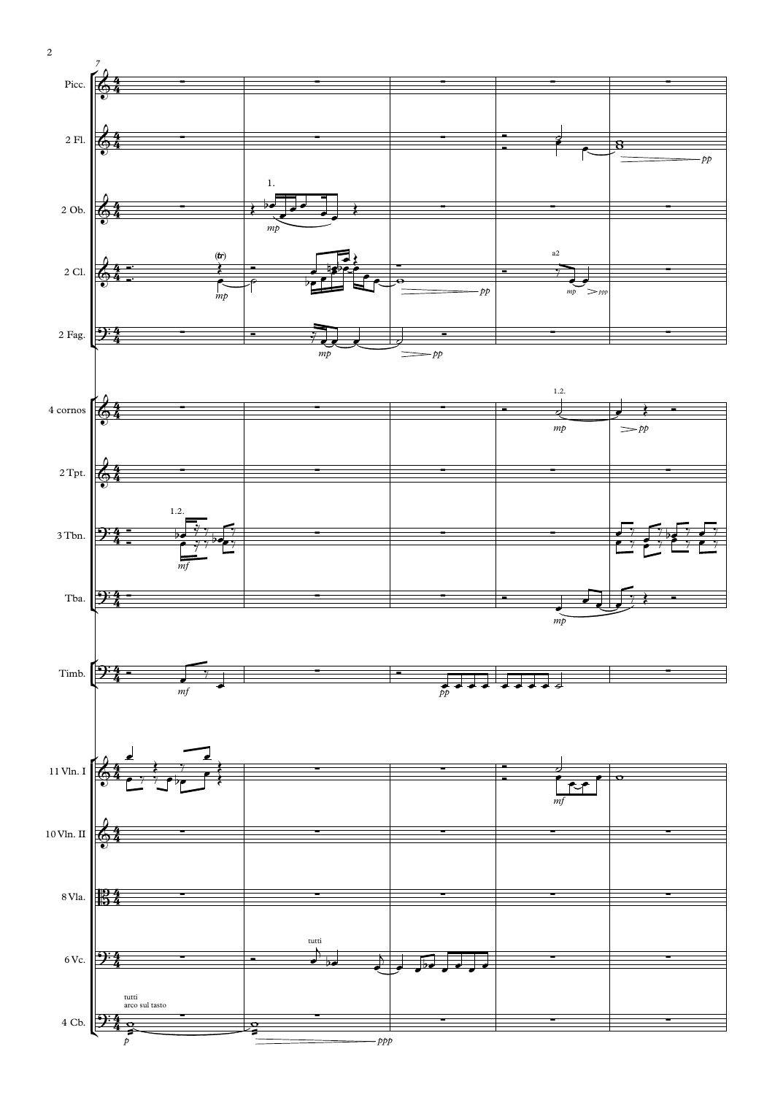

2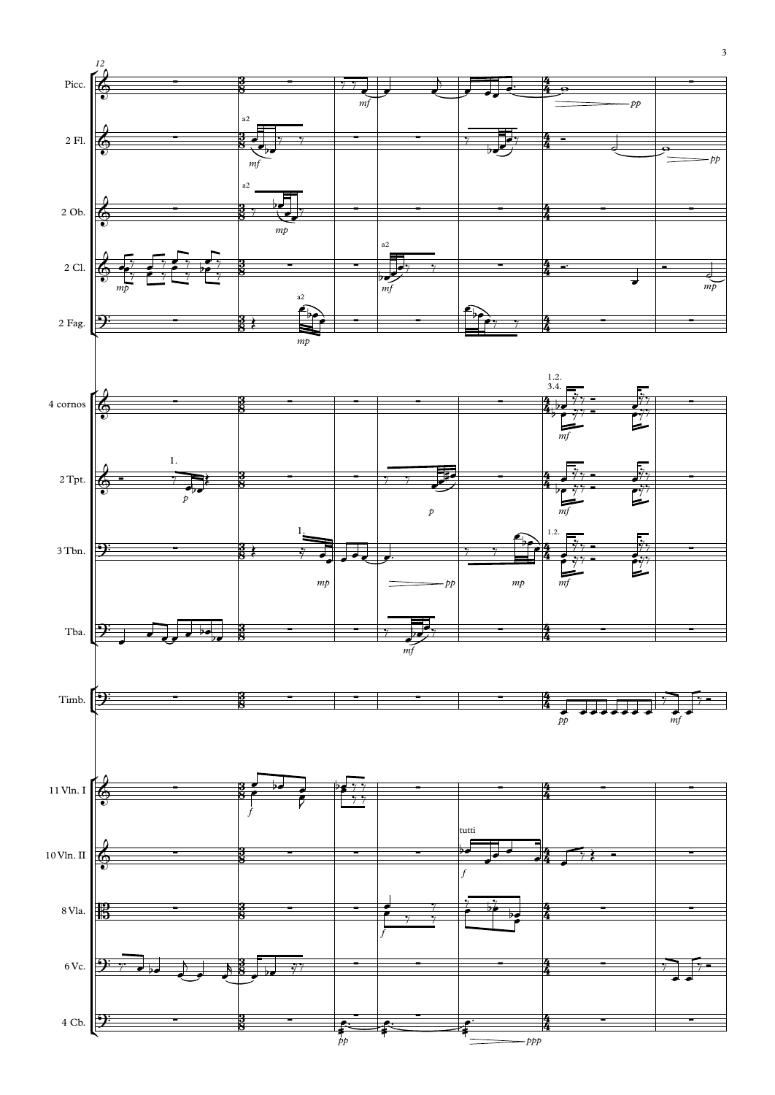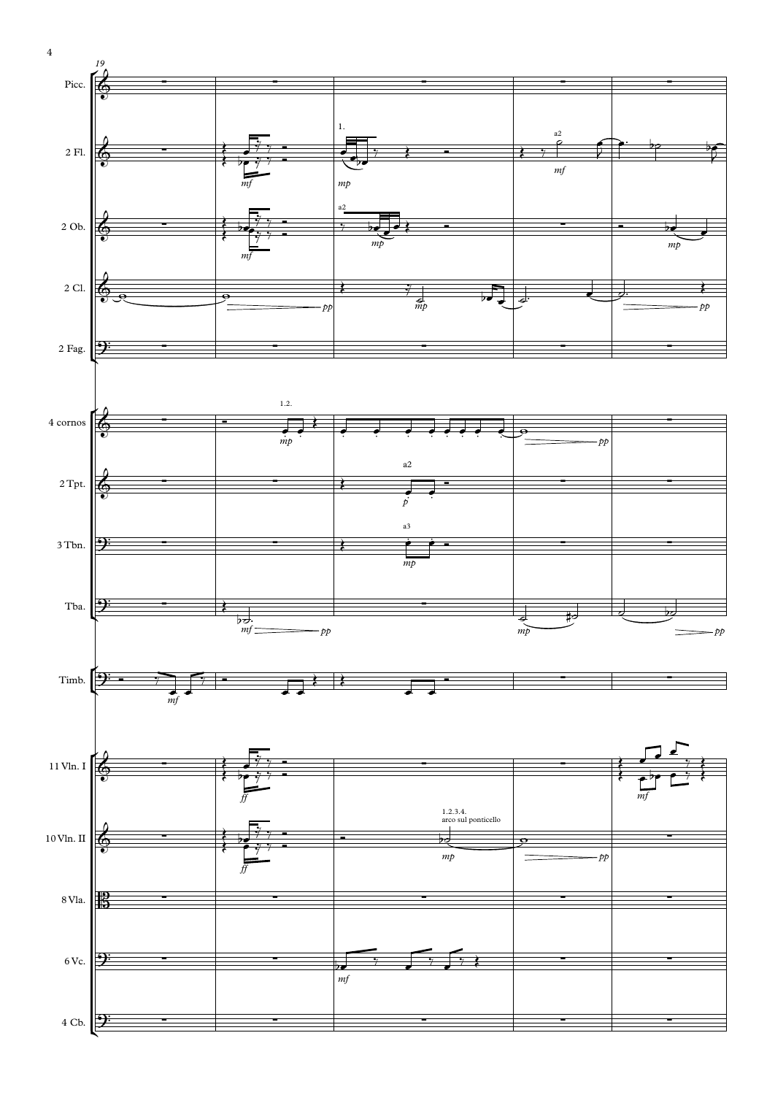

4